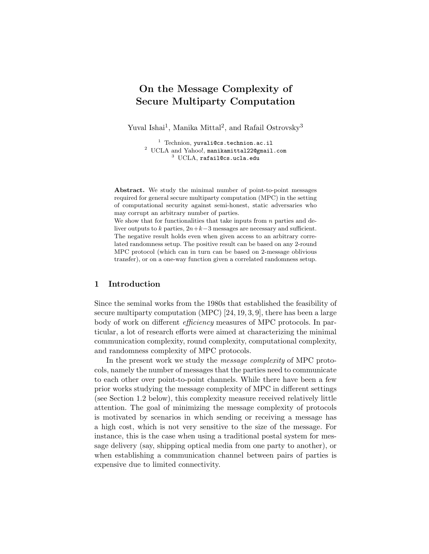# On the Message Complexity of Secure Multiparty Computation

Yuval Ishai<sup>1</sup>, Manika Mittal<sup>2</sup>, and Rafail Ostrovsky<sup>3</sup>

<sup>1</sup> Technion, yuvali@cs.technion.ac.il <sup>2</sup> UCLA and Yahoo!, manikamittal22@gmail.com <sup>3</sup> UCLA, rafail@cs.ucla.edu

Abstract. We study the minimal number of point-to-point messages required for general secure multiparty computation (MPC) in the setting of computational security against semi-honest, static adversaries who may corrupt an arbitrary number of parties.

We show that for functionalities that take inputs from  $n$  parties and deliver outputs to k parties,  $2n+k-3$  messages are necessary and sufficient. The negative result holds even when given access to an arbitrary correlated randomness setup. The positive result can be based on any 2-round MPC protocol (which can in turn can be based on 2-message oblivious transfer), or on a one-way function given a correlated randomness setup.

#### 1 Introduction

Since the seminal works from the 1980s that established the feasibility of secure multiparty computation (MPC) [24, 19, 3, 9], there has been a large body of work on different *efficiency* measures of MPC protocols. In particular, a lot of research efforts were aimed at characterizing the minimal communication complexity, round complexity, computational complexity, and randomness complexity of MPC protocols.

In the present work we study the *message complexity* of MPC protocols, namely the number of messages that the parties need to communicate to each other over point-to-point channels. While there have been a few prior works studying the message complexity of MPC in different settings (see Section 1.2 below), this complexity measure received relatively little attention. The goal of minimizing the message complexity of protocols is motivated by scenarios in which sending or receiving a message has a high cost, which is not very sensitive to the size of the message. For instance, this is the case when using a traditional postal system for message delivery (say, shipping optical media from one party to another), or when establishing a communication channel between pairs of parties is expensive due to limited connectivity.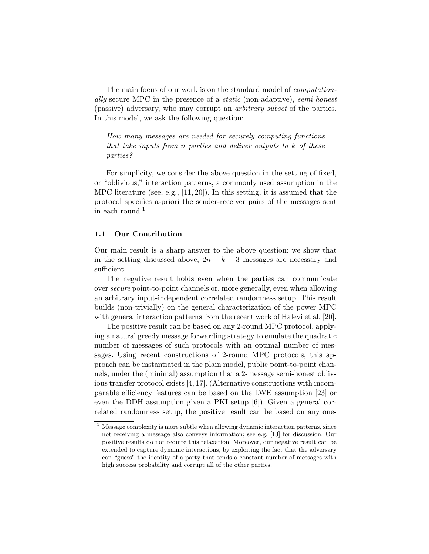The main focus of our work is on the standard model of *computation*ally secure MPC in the presence of a static (non-adaptive), semi-honest (passive) adversary, who may corrupt an arbitrary subset of the parties. In this model, we ask the following question:

How many messages are needed for securely computing functions that take inputs from n parties and deliver outputs to k of these parties?

For simplicity, we consider the above question in the setting of fixed, or "oblivious," interaction patterns, a commonly used assumption in the MPC literature (see, e.g., [11, 20]). In this setting, it is assumed that the protocol specifies a-priori the sender-receiver pairs of the messages sent in each round.<sup>1</sup>

#### 1.1 Our Contribution

Our main result is a sharp answer to the above question: we show that in the setting discussed above,  $2n + k - 3$  messages are necessary and sufficient.

The negative result holds even when the parties can communicate over secure point-to-point channels or, more generally, even when allowing an arbitrary input-independent correlated randomness setup. This result builds (non-trivially) on the general characterization of the power MPC with general interaction patterns from the recent work of Halevi et al. [20].

The positive result can be based on any 2-round MPC protocol, applying a natural greedy message forwarding strategy to emulate the quadratic number of messages of such protocols with an optimal number of messages. Using recent constructions of 2-round MPC protocols, this approach can be instantiated in the plain model, public point-to-point channels, under the (minimal) assumption that a 2-message semi-honest oblivious transfer protocol exists [4, 17]. (Alternative constructions with incomparable efficiency features can be based on the LWE assumption [23] or even the DDH assumption given a PKI setup [6]). Given a general correlated randomness setup, the positive result can be based on any one-

 $1$  Message complexity is more subtle when allowing dynamic interaction patterns, since not receiving a message also conveys information; see e.g. [13] for discussion. Our positive results do not require this relaxation. Moreover, our negative result can be extended to capture dynamic interactions, by exploiting the fact that the adversary can "guess" the identity of a party that sends a constant number of messages with high success probability and corrupt all of the other parties.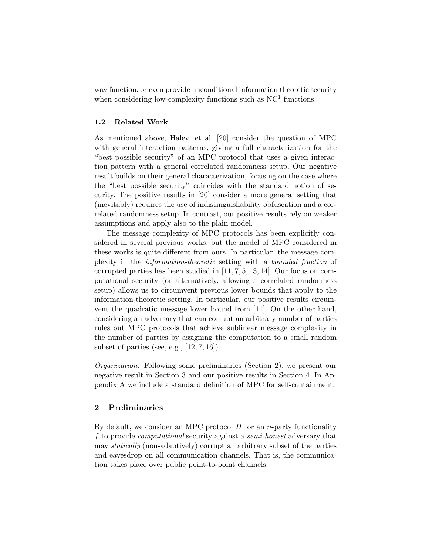way function, or even provide unconditional information theoretic security when considering low-complexity functions such as  $NC<sup>1</sup>$  functions.

#### 1.2 Related Work

As mentioned above, Halevi et al. [20] consider the question of MPC with general interaction patterns, giving a full characterization for the "best possible security" of an MPC protocol that uses a given interaction pattern with a general correlated randomness setup. Our negative result builds on their general characterization, focusing on the case where the "best possible security" coincides with the standard notion of security. The positive results in [20] consider a more general setting that (inevitably) requires the use of indistinguishability obfuscation and a correlated randomness setup. In contrast, our positive results rely on weaker assumptions and apply also to the plain model.

The message complexity of MPC protocols has been explicitly considered in several previous works, but the model of MPC considered in these works is quite different from ours. In particular, the message complexity in the information-theoretic setting with a bounded fraction of corrupted parties has been studied in [11, 7, 5, 13, 14]. Our focus on computational security (or alternatively, allowing a correlated randomness setup) allows us to circumvent previous lower bounds that apply to the information-theoretic setting. In particular, our positive results circumvent the quadratic message lower bound from [11]. On the other hand, considering an adversary that can corrupt an arbitrary number of parties rules out MPC protocols that achieve sublinear message complexity in the number of parties by assigning the computation to a small random subset of parties (see, e.g.,  $[12, 7, 16]$ ).

Organization. Following some preliminaries (Section 2), we present our negative result in Section 3 and our positive results in Section 4. In Appendix A we include a standard definition of MPC for self-containment.

# 2 Preliminaries

By default, we consider an MPC protocol  $\Pi$  for an *n*-party functionality f to provide computational security against a semi-honest adversary that may statically (non-adaptively) corrupt an arbitrary subset of the parties and eavesdrop on all communication channels. That is, the communication takes place over public point-to-point channels.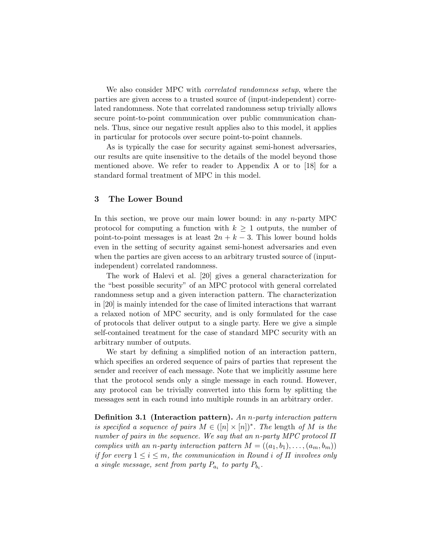We also consider MPC with *correlated randomness setup*, where the parties are given access to a trusted source of (input-independent) correlated randomness. Note that correlated randomness setup trivially allows secure point-to-point communication over public communication channels. Thus, since our negative result applies also to this model, it applies in particular for protocols over secure point-to-point channels.

As is typically the case for security against semi-honest adversaries, our results are quite insensitive to the details of the model beyond those mentioned above. We refer to reader to Appendix A or to [18] for a standard formal treatment of MPC in this model.

#### 3 The Lower Bound

In this section, we prove our main lower bound: in any  $n$ -party MPC protocol for computing a function with  $k \geq 1$  outputs, the number of point-to-point messages is at least  $2n + k - 3$ . This lower bound holds even in the setting of security against semi-honest adversaries and even when the parties are given access to an arbitrary trusted source of (inputindependent) correlated randomness.

The work of Halevi et al. [20] gives a general characterization for the "best possible security" of an MPC protocol with general correlated randomness setup and a given interaction pattern. The characterization in [20] is mainly intended for the case of limited interactions that warrant a relaxed notion of MPC security, and is only formulated for the case of protocols that deliver output to a single party. Here we give a simple self-contained treatment for the case of standard MPC security with an arbitrary number of outputs.

We start by defining a simplified notion of an interaction pattern, which specifies an ordered sequence of pairs of parties that represent the sender and receiver of each message. Note that we implicitly assume here that the protocol sends only a single message in each round. However, any protocol can be trivially converted into this form by splitting the messages sent in each round into multiple rounds in an arbitrary order.

**Definition 3.1** (Interaction pattern). An *n*-party interaction pattern is specified a sequence of pairs  $M \in ([n] \times [n])^*$ . The length of M is the number of pairs in the sequence. We say that an n-party MPC protocol  $\Pi$ complies with an n-party interaction pattern  $M = ((a_1, b_1), \ldots, (a_m, b_m))$ if for every  $1 \leq i \leq m$ , the communication in Round i of  $\Pi$  involves only a single message, sent from party  $P_{a_i}$  to party  $P_{b_i}$ .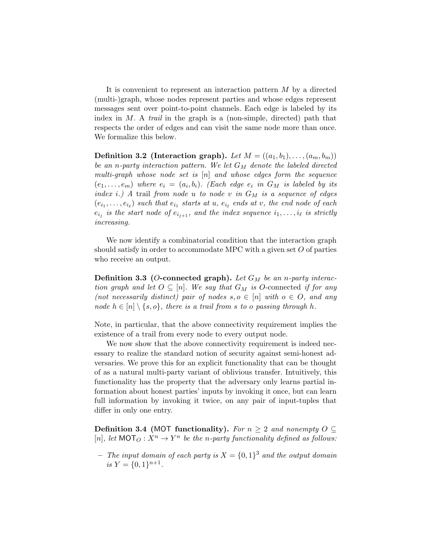It is convenient to represent an interaction pattern M by a directed (multi-)graph, whose nodes represent parties and whose edges represent messages sent over point-to-point channels. Each edge is labeled by its index in  $M$ . A *trail* in the graph is a (non-simple, directed) path that respects the order of edges and can visit the same node more than once. We formalize this below.

**Definition 3.2 (Interaction graph).** Let  $M = ((a_1, b_1), \ldots, (a_m, b_m))$ be an n-party interaction pattern. We let  $G_M$  denote the labeled directed multi-graph whose node set is [n] and whose edges form the sequence  $(e_1,\ldots,e_m)$  where  $e_i = (a_i,b_i)$ . (Each edge  $e_i$  in  $G_M$  is labeled by its index i.) A trail from node u to node v in  $G_M$  is a sequence of edges  $(e_{i_1}, \ldots, e_{i_\ell})$  such that  $e_{i_1}$  starts at  $u, e_{i_\ell}$  ends at  $v$ , the end node of each  $e_{i_j}$  is the start node of  $e_{i_{j+1}}$ , and the index sequence  $i_1, \ldots, i_\ell$  is strictly increasing.

We now identify a combinatorial condition that the interaction graph should satisfy in order to accommodate MPC with a given set  $O$  of parties who receive an output.

**Definition 3.3** (O-connected graph). Let  $G_M$  be an n-party interaction graph and let  $O \subseteq [n]$ . We say that  $G_M$  is O-connected if for any (not necessarily distinct) pair of nodes  $s, o \in [n]$  with  $o \in O$ , and any node  $h \in [n] \setminus \{s, o\}$ , there is a trail from s to o passing through h.

Note, in particular, that the above connectivity requirement implies the existence of a trail from every node to every output node.

We now show that the above connectivity requirement is indeed necessary to realize the standard notion of security against semi-honest adversaries. We prove this for an explicit functionality that can be thought of as a natural multi-party variant of oblivious transfer. Intuitively, this functionality has the property that the adversary only learns partial information about honest parties' inputs by invoking it once, but can learn full information by invoking it twice, on any pair of input-tuples that differ in only one entry.

Definition 3.4 (MOT functionality). For  $n \geq 2$  and nonempty  $O \subseteq$ [n], let  $MOT<sub>O</sub>: X<sup>n</sup> \rightarrow Y<sup>n</sup>$  be the n-party functionality defined as follows:

- The input domain of each party is  $X = \{0,1\}^3$  and the output domain is  $Y = \{0, 1\}^{n+1}$ .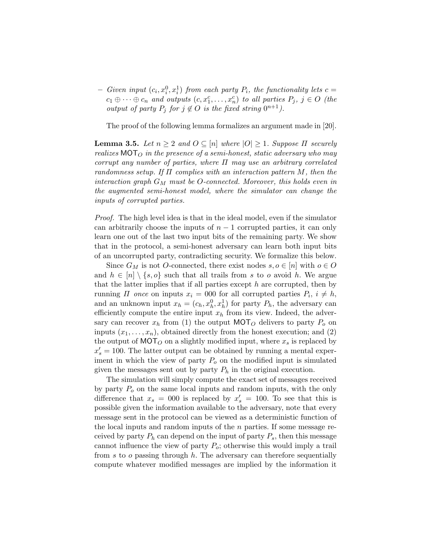$-$  Given input  $(c_i, x_i^0, x_i^1)$  from each party  $P_i$ , the functionality lets  $c =$  $c_1 \oplus \cdots \oplus c_n$  and outputs  $(c, x_1^c, \ldots, x_n^c)$  to all parties  $P_j$ ,  $j \in O$  (the *output of party*  $P_j$  *for*  $j \notin O$  *is the fixed string*  $0^{n+1}$ *)*.

The proof of the following lemma formalizes an argument made in [20].

**Lemma 3.5.** Let  $n \geq 2$  and  $O \subseteq [n]$  where  $|O| \geq 1$ . Suppose  $\Pi$  securely realizes  $MOT<sub>O</sub>$  in the presence of a semi-honest, static adversary who may corrupt any number of parties, where  $\Pi$  may use an arbitrary correlated randomness setup. If  $\Pi$  complies with an interaction pattern  $M$ , then the interaction graph  $G_M$  must be O-connected. Moreover, this holds even in the augmented semi-honest model, where the simulator can change the inputs of corrupted parties.

Proof. The high level idea is that in the ideal model, even if the simulator can arbitrarily choose the inputs of  $n-1$  corrupted parties, it can only learn one out of the last two input bits of the remaining party. We show that in the protocol, a semi-honest adversary can learn both input bits of an uncorrupted party, contradicting security. We formalize this below.

Since  $G_M$  is not O-connected, there exist nodes  $s, o \in [n]$  with  $o \in O$ and  $h \in [n] \setminus \{s, o\}$  such that all trails from s to o avoid h. We argue that the latter implies that if all parties except  $h$  are corrupted, then by running  $\Pi$  once on inputs  $x_i = 000$  for all corrupted parties  $P_i$ ,  $i \neq h$ , and an unknown input  $x_h = (c_h, x_h^0, x_h^1)$  for party  $P_h$ , the adversary can efficiently compute the entire input  $x<sub>h</sub>$  from its view. Indeed, the adversary can recover  $x_h$  from (1) the output MOT<sub>O</sub> delivers to party  $P_o$  on inputs  $(x_1, \ldots, x_n)$ , obtained directly from the honest execution; and (2) the output of  $MOT<sub>O</sub>$  on a slightly modified input, where  $x<sub>s</sub>$  is replaced by  $x'_s = 100$ . The latter output can be obtained by running a mental experiment in which the view of party  $P<sub>o</sub>$  on the modified input is simulated given the messages sent out by party  $P_h$  in the original execution.

The simulation will simply compute the exact set of messages received by party  $P<sub>o</sub>$  on the same local inputs and random inputs, with the only difference that  $x_s = 000$  is replaced by  $x'_s = 100$ . To see that this is possible given the information available to the adversary, note that every message sent in the protocol can be viewed as a deterministic function of the local inputs and random inputs of the  $n$  parties. If some message received by party  $P_h$  can depend on the input of party  $P_s$ , then this message cannot influence the view of party  $P_o$ ; otherwise this would imply a trail from s to o passing through  $h$ . The adversary can therefore sequentially compute whatever modified messages are implied by the information it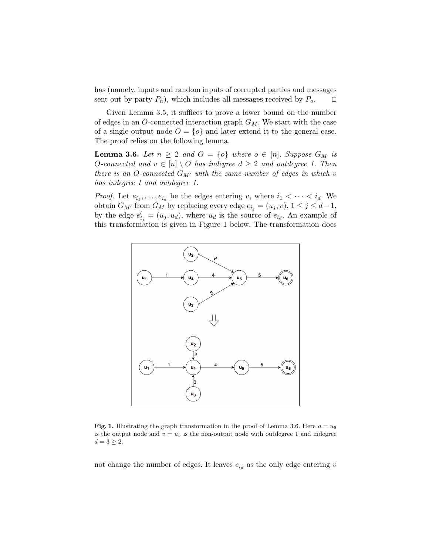has (namely, inputs and random inputs of corrupted parties and messages sent out by party  $P_h$ ), which includes all messages received by  $P_o$ .  $\Box$ 

Given Lemma 3.5, it suffices to prove a lower bound on the number of edges in an O-connected interaction graph  $G_M$ . We start with the case of a single output node  $O = \{o\}$  and later extend it to the general case. The proof relies on the following lemma.

**Lemma 3.6.** Let  $n \geq 2$  and  $O = \{o\}$  where  $o \in [n]$ . Suppose  $G_M$  is O-connected and  $v \in [n] \setminus O$  has indegree  $d \geq 2$  and outdegree 1. Then there is an O-connected  $G_{M'}$  with the same number of edges in which v has indegree 1 and outdegree 1.

*Proof.* Let  $e_{i_1}, \ldots, e_{i_d}$  be the edges entering v, where  $i_1 < \cdots < i_d$ . We obtain  $G_{M'}$  from  $G_M$  by replacing every edge  $e_{i_j} = (u_j, v), 1 \le j \le d-1$ , by the edge  $e'_{i_j} = (u_j, u_d)$ , where  $u_d$  is the source of  $e_{i_d}$ . An example of this transformation is given in Figure 1 below. The transformation does



Fig. 1. Illustrating the graph transformation in the proof of Lemma 3.6. Here  $o = u_6$ is the output node and  $v = u_5$  is the non-output node with outdegree 1 and indegree  $d=3\geq 2.$ 

not change the number of edges. It leaves  $e_{i_d}$  as the only edge entering  $v$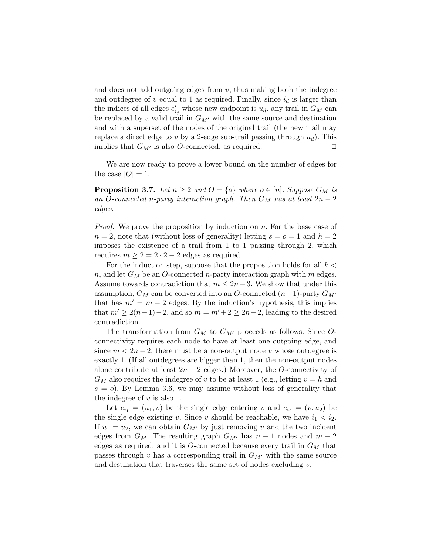and does not add outgoing edges from  $v$ , thus making both the indegree and outdegree of v equal to 1 as required. Finally, since  $i_d$  is larger than the indices of all edges  $e'_{i_j}$  whose new endpoint is  $u_d$ , any trail in  $G_M$  can be replaced by a valid trail in  $G_{M'}$  with the same source and destination and with a superset of the nodes of the original trail (the new trail may replace a direct edge to v by a 2-edge sub-trail passing through  $u_d$ ). This implies that  $G_{M'}$  is also O-connected, as required.  $\square$ 

We are now ready to prove a lower bound on the number of edges for the case  $|O|=1$ .

**Proposition 3.7.** Let  $n \geq 2$  and  $O = \{o\}$  where  $o \in [n]$ . Suppose  $G_M$  is an O-connected n-party interaction graph. Then  $G_M$  has at least  $2n-2$ edges.

*Proof.* We prove the proposition by induction on  $n$ . For the base case of  $n = 2$ , note that (without loss of generality) letting  $s = 0 = 1$  and  $h = 2$ imposes the existence of a trail from 1 to 1 passing through 2, which requires  $m \geq 2 = 2 \cdot 2 - 2$  edges as required.

For the induction step, suppose that the proposition holds for all  $k <$ n, and let  $G_M$  be an O-connected n-party interaction graph with m edges. Assume towards contradiction that  $m \leq 2n-3$ . We show that under this assumption,  $G_M$  can be converted into an O-connected  $(n-1)$ -party  $G_{M'}$ that has  $m' = m - 2$  edges. By the induction's hypothesis, this implies that  $m' \geq 2(n-1)-2$ , and so  $m = m'+2 \geq 2n-2$ , leading to the desired contradiction.

The transformation from  $G_M$  to  $G_{M'}$  proceeds as follows. Since Oconnectivity requires each node to have at least one outgoing edge, and since  $m < 2n - 2$ , there must be a non-output node v whose outdegree is exactly 1. (If all outdegrees are bigger than 1, then the non-output nodes alone contribute at least  $2n - 2$  edges.) Moreover, the O-connectivity of  $G_M$  also requires the indegree of v to be at least 1 (e.g., letting  $v = h$  and  $s = o$ ). By Lemma 3.6, we may assume without loss of generality that the indegree of  $v$  is also 1.

Let  $e_{i_1} = (u_1, v)$  be the single edge entering v and  $e_{i_2} = (v, u_2)$  be the single edge existing v. Since v should be reachable, we have  $i_1 < i_2$ . If  $u_1 = u_2$ , we can obtain  $G_{M'}$  by just removing v and the two incident edges from  $G_M$ . The resulting graph  $G_{M'}$  has  $n-1$  nodes and  $m-2$ edges as required, and it is  $O$ -connected because every trail in  $G_M$  that passes through v has a corresponding trail in  $G_{M'}$  with the same source and destination that traverses the same set of nodes excluding  $v$ .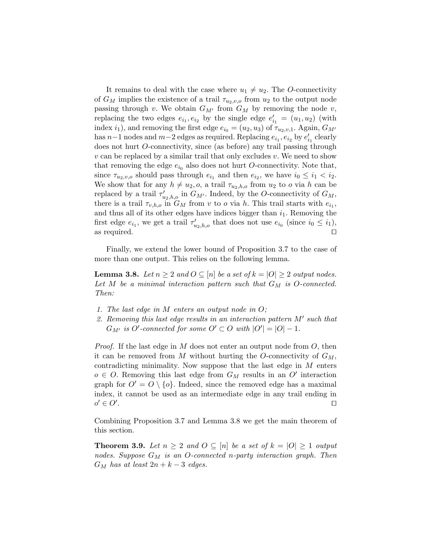It remains to deal with the case where  $u_1 \neq u_2$ . The O-connectivity of  $G_M$  implies the existence of a trail  $\tau_{u_2,v,o}$  from  $u_2$  to the output node passing through v. We obtain  $G_{M'}$  from  $G_M$  by removing the node v, replacing the two edges  $e_{i_1}, e_{i_2}$  by the single edge  $e'_{i_1} = (u_1, u_2)$  (with index i<sub>1</sub>), and removing the first edge  $e_{i_0} = (u_2, u_3)$  of  $\tau_{u_2, v, 1}$ . Again,  $G_{M'}$ has  $n-1$  nodes and  $m-2$  edges as required. Replacing  $e_{i_1}, e_{i_2}$  by  $e'_{i_1}$  clearly does not hurt O-connectivity, since (as before) any trail passing through  $v \text{ can be replaced by a similar trail that only excludes } v.$  We need to show that removing the edge  $e_{i_0}$  also does not hurt O-connectivity. Note that, since  $\tau_{u_2,v,o}$  should pass through  $e_{i_1}$  and then  $e_{i_2}$ , we have  $i_0 \leq i_1 < i_2$ . We show that for any  $h \neq u_2, o$ , a trail  $\tau_{u_2,h,o}$  from  $u_2$  to o via h can be replaced by a trail  $\tau'_{u_2,h,o}$  in  $G_{M'}$ . Indeed, by the O-connectivity of  $G_M$ , there is a trail  $\tau_{v,h,o}$  in  $G_M$  from v to o via h. This trail starts with  $e_{i_1}$ , and thus all of its other edges have indices bigger than  $i_1$ . Removing the first edge  $e_{i_1}$ , we get a trail  $\tau'_{u_2,h,o}$  that does not use  $e_{i_0}$  (since  $i_0 \leq i_1$ ), as required.  $\square$ 

Finally, we extend the lower bound of Proposition 3.7 to the case of more than one output. This relies on the following lemma.

**Lemma 3.8.** Let  $n \geq 2$  and  $O \subseteq [n]$  be a set of  $k = |O| \geq 2$  output nodes. Let M be a minimal interaction pattern such that  $G_M$  is O-connected. Then:

- 1. The last edge in M enters an output node in O;
- 2. Removing this last edge results in an interaction pattern  $M'$  such that  $G_{M'}$  is O'-connected for some  $O' \subset O$  with  $|O'| = |O|-1$ .

*Proof.* If the last edge in  $M$  does not enter an output node from  $O$ , then it can be removed from M without hurting the O-connectivity of  $G_M$ , contradicting minimality. Now suppose that the last edge in M enters  $o \in O$ . Removing this last edge from  $G_M$  results in an  $O'$  interaction graph for  $O' = O \setminus \{o\}$ . Indeed, since the removed edge has a maximal index, it cannot be used as an intermediate edge in any trail ending in  $o' \in O'$ . The contract of the contract of the contract of the contract of  $\Box$ 

Combining Proposition 3.7 and Lemma 3.8 we get the main theorem of this section.

**Theorem 3.9.** Let  $n \geq 2$  and  $O \subseteq [n]$  be a set of  $k = |O| \geq 1$  output nodes. Suppose  $G_M$  is an O-connected n-party interaction graph. Then  $G_M$  has at least  $2n + k - 3$  edges.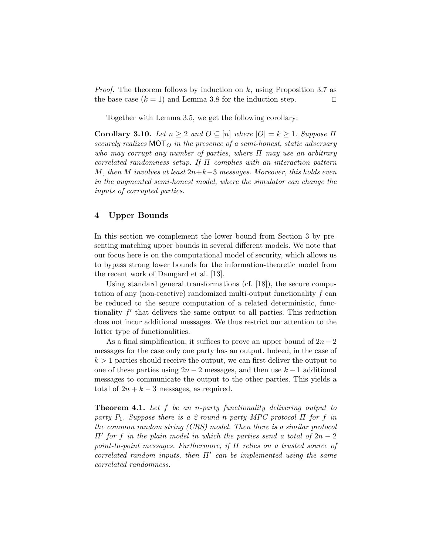*Proof.* The theorem follows by induction on k, using Proposition 3.7 as the base case  $(k = 1)$  and Lemma 3.8 for the induction step.  $\Box$ 

Together with Lemma 3.5, we get the following corollary:

Corollary 3.10. Let  $n \geq 2$  and  $O \subseteq [n]$  where  $|O| = k \geq 1$ . Suppose  $\Pi$ securely realizes MOT<sub>O</sub> in the presence of a semi-honest, static adversary who may corrupt any number of parties, where  $\Pi$  may use an arbitrary correlated randomness setup. If  $\Pi$  complies with an interaction pattern M, then M involves at least  $2n+k-3$  messages. Moreover, this holds even in the augmented semi-honest model, where the simulator can change the inputs of corrupted parties.

# 4 Upper Bounds

In this section we complement the lower bound from Section 3 by presenting matching upper bounds in several different models. We note that our focus here is on the computational model of security, which allows us to bypass strong lower bounds for the information-theoretic model from the recent work of Damgård et al. [13].

Using standard general transformations (cf. [18]), the secure computation of any (non-reactive) randomized multi-output functionality f can be reduced to the secure computation of a related deterministic, functionality  $f'$  that delivers the same output to all parties. This reduction does not incur additional messages. We thus restrict our attention to the latter type of functionalities.

As a final simplification, it suffices to prove an upper bound of  $2n-2$ messages for the case only one party has an output. Indeed, in the case of  $k > 1$  parties should receive the output, we can first deliver the output to one of these parties using  $2n-2$  messages, and then use  $k-1$  additional messages to communicate the output to the other parties. This yields a total of  $2n + k - 3$  messages, as required.

Theorem 4.1. Let f be an n-party functionality delivering output to party  $P_1$ . Suppose there is a 2-round n-party MPC protocol  $\Pi$  for f in the common random string (CRS) model. Then there is a similar protocol  $\Pi'$  for f in the plain model in which the parties send a total of  $2n-2$ point-to-point messages. Furthermore, if Π relies on a trusted source of correlated random inputs, then  $\Pi'$  can be implemented using the same correlated randomness.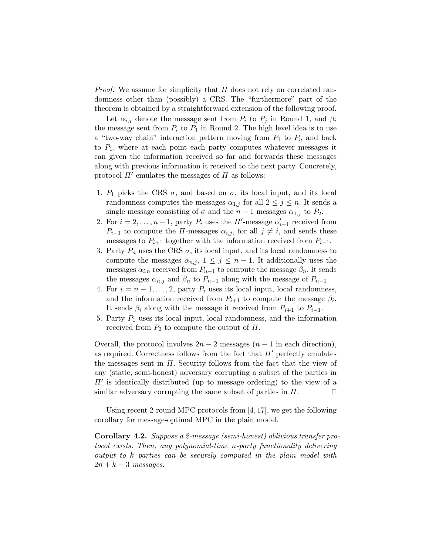*Proof.* We assume for simplicity that  $\Pi$  does not rely on correlated randomness other than (possibly) a CRS. The "furthermore" part of the theorem is obtained by a straightforward extension of the following proof.

Let  $\alpha_{i,j}$  denote the message sent from  $P_i$  to  $P_j$  in Round 1, and  $\beta_i$ the message sent from  $P_i$  to  $P_1$  in Round 2. The high level idea is to use a "two-way chain" interaction pattern moving from  $P_1$  to  $P_n$  and back to  $P_1$ , where at each point each party computes whatever messages it can given the information received so far and forwards these messages along with previous information it received to the next party. Concretely, protocol  $\Pi'$  emulates the messages of  $\Pi$  as follows:

- 1.  $P_1$  picks the CRS  $\sigma$ , and based on  $\sigma$ , its local input, and its local randomness computes the messages  $\alpha_{1,j}$  for all  $2 \leq j \leq n$ . It sends a single message consisting of  $\sigma$  and the  $n-1$  messages  $\alpha_{1,j}$  to  $P_2$ .
- 2. For  $i = 2, \ldots, n 1$ , party  $P_i$  uses the  $\Pi'$ -message  $\alpha'_{i-1}$  received from  $P_{i-1}$  to compute the  $\Pi$ -messages  $\alpha_{i,j}$ , for all  $j \neq i$ , and sends these messages to  $P_{i+1}$  together with the information received from  $P_{i-1}$ .
- 3. Party  $P_n$  uses the CRS  $\sigma$ , its local input, and its local randomness to compute the messages  $\alpha_{n,j}, 1 \leq j \leq n-1$ . It additionally uses the messages  $\alpha_{i,n}$  received from  $P_{n-1}$  to compute the message  $\beta_n$ . It sends the messages  $\alpha_{n,j}$  and  $\beta_n$  to  $P_{n-1}$  along with the message of  $P_{n-1}$ .
- 4. For  $i = n-1, \ldots, 2$ , party  $P_i$  uses its local input, local randomness, and the information received from  $P_{i+1}$  to compute the message  $\beta_i$ . It sends  $\beta_i$  along with the message it received from  $P_{i+1}$  to  $P_{i-1}$ .
- 5. Party  $P_1$  uses its local input, local randomness, and the information received from  $P_2$  to compute the output of  $\Pi$ .

Overall, the protocol involves  $2n-2$  messages  $(n-1)$  in each direction), as required. Correctness follows from the fact that  $\Pi'$  perfectly emulates the messages sent in  $\Pi$ . Security follows from the fact that the view of any (static, semi-honest) adversary corrupting a subset of the parties in  $\Pi'$  is identically distributed (up to message ordering) to the view of a similar adversary corrupting the same subset of parties in  $\Pi$ .

Using recent 2-round MPC protocols from [4, 17], we get the following corollary for message-optimal MPC in the plain model.

Corollary 4.2. Suppose a 2-message (semi-honest) oblivious transfer protocol exists. Then, any polynomial-time n-party functionality delivering output to k parties can be securely computed in the plain model with  $2n + k - 3$  messages.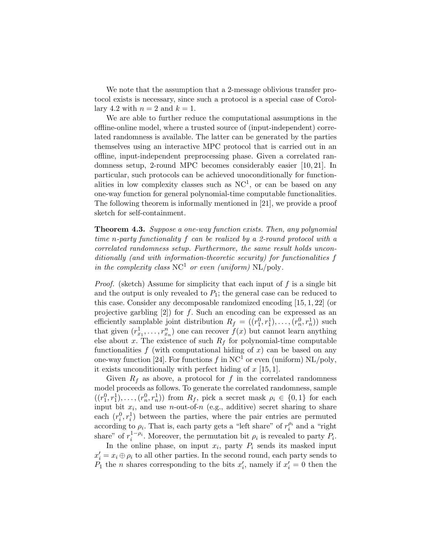We note that the assumption that a 2-message oblivious transfer protocol exists is necessary, since such a protocol is a special case of Corollary 4.2 with  $n = 2$  and  $k = 1$ .

We are able to further reduce the computational assumptions in the offline-online model, where a trusted source of (input-independent) correlated randomness is available. The latter can be generated by the parties themselves using an interactive MPC protocol that is carried out in an offline, input-independent preprocessing phase. Given a correlated randomness setup, 2-round MPC becomes considerably easier [10, 21]. In particular, such protocols can be achieved unoconditionally for functionalities in low complexity classes such as  $NC<sup>1</sup>$ , or can be based on any one-way function for general polynomial-time computable functionalities. The following theorem is informally mentioned in [21], we provide a proof sketch for self-containment.

Theorem 4.3. Suppose a one-way function exists. Then, any polynomial time n-party functionality f can be realized by a 2-round protocol with a correlated randomness setup. Furthermore, the same result holds unconditionally (and with information-theoretic security) for functionalities f in the complexity class  $NC^1$  or even (uniform)  $NL$ /poly.

*Proof.* (sketch) Assume for simplicity that each input of  $f$  is a single bit and the output is only revealed to  $P_1$ ; the general case can be reduced to this case. Consider any decomposable randomized encoding [15, 1, 22] (or projective garbling  $[2]$  for f. Such an encoding can be expressed as an efficiently samplable joint distribution  $R_f = ((r_1^0, r_1^1), \ldots, (r_n^0, r_n^1))$  such that given  $(r_{x_1}^1, \ldots, r_{x_n}^n)$  one can recover  $f(x)$  but cannot learn anything else about x. The existence of such  $R_f$  for polynomial-time computable functionalities  $f$  (with computational hiding of  $x$ ) can be based on any one-way function [24]. For functions f in  $NC<sup>1</sup>$  or even (uniform)  $NL/poly$ , it exists unconditionally with perfect hiding of  $x$  [15, 1].

Given  $R_f$  as above, a protocol for f in the correlated randomness model proceeds as follows. To generate the correlated randomness, sample  $((r_1^0, r_1^1), \ldots, (r_n^0, r_n^1))$  from  $R_f$ , pick a secret mask  $\rho_i \in \{0, 1\}$  for each input bit  $x_i$ , and use *n*-out-of-*n* (e.g., additive) secret sharing to share each  $(r_i^0, r_i^1)$  between the parties, where the pair entries are permuted according to  $\rho_i$ . That is, each party gets a "left share" of  $r_i^{\rho_i}$  and a "right share" of  $r_i^{1-\rho_i}$ . Moreover, the permutation bit  $\rho_i$  is revealed to party  $P_i$ .

In the online phase, on input  $x_i$ , party  $P_i$  sends its masked input  $x'_i = x_i \oplus \rho_i$  to all other parties. In the second round, each party sends to  $P_1$  the *n* shares corresponding to the bits  $x'_i$ , namely if  $x'_i = 0$  then the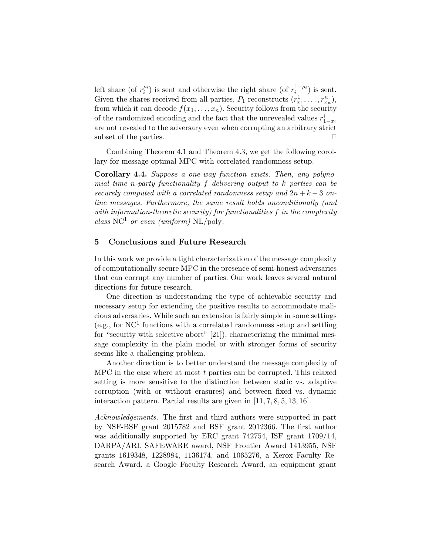left share (of  $r_i^{\rho_i}$ ) is sent and otherwise the right share (of  $r_i^{1-\rho_i}$ ) is sent. Given the shares received from all parties,  $P_1$  reconstructs  $(r_{x_1}^1, \ldots, r_{x_n}^n)$ , from which it can decode  $f(x_1, \ldots, x_n)$ . Security follows from the security % of the randomized encoding and the fact that the unrevealed values  $r^i_{1-x_i}$ are not revealed to the adversary even when corrupting an arbitrary strict subset of the parties.  $\Box$ 

Combining Theorem 4.1 and Theorem 4.3, we get the following corollary for message-optimal MPC with correlated randomness setup.

Corollary 4.4. Suppose a one-way function exists. Then, any polynomial time n-party functionality  $f$  delivering output to  $k$  parties can be securely computed with a correlated randomness setup and  $2n + k - 3$  online messages. Furthermore, the same result holds unconditionally (and with information-theoretic security) for functionalities f in the complexity class  $NC^1$  or even (uniform)  $NL$ /poly.

### 5 Conclusions and Future Research

In this work we provide a tight characterization of the message complexity of computationally secure MPC in the presence of semi-honest adversaries that can corrupt any number of parties. Our work leaves several natural directions for future research.

One direction is understanding the type of achievable security and necessary setup for extending the positive results to accommodate malicious adversaries. While such an extension is fairly simple in some settings (e.g., for  $NC<sup>1</sup>$  functions with a correlated randomness setup and settling for "security with selective abort" [21]), characterizing the minimal message complexity in the plain model or with stronger forms of security seems like a challenging problem.

Another direction is to better understand the message complexity of MPC in the case where at most  $t$  parties can be corrupted. This relaxed setting is more sensitive to the distinction between static vs. adaptive corruption (with or without erasures) and between fixed vs. dynamic interaction pattern. Partial results are given in [11, 7, 8, 5, 13, 16].

Acknowledgements. The first and third authors were supported in part by NSF-BSF grant 2015782 and BSF grant 2012366. The first author was additionally supported by ERC grant 742754, ISF grant 1709/14, DARPA/ARL SAFEWARE award, NSF Frontier Award 1413955, NSF grants 1619348, 1228984, 1136174, and 1065276, a Xerox Faculty Research Award, a Google Faculty Research Award, an equipment grant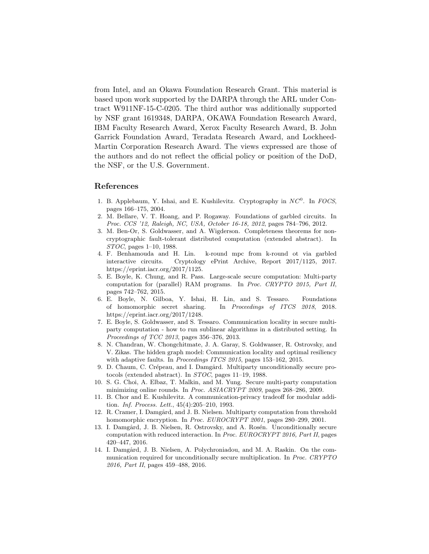from Intel, and an Okawa Foundation Research Grant. This material is based upon work supported by the DARPA through the ARL under Contract W911NF-15-C-0205. The third author was additionally supported by NSF grant 1619348, DARPA, OKAWA Foundation Research Award, IBM Faculty Research Award, Xerox Faculty Research Award, B. John Garrick Foundation Award, Teradata Research Award, and Lockheed-Martin Corporation Research Award. The views expressed are those of the authors and do not reflect the official policy or position of the DoD, the NSF, or the U.S. Government.

#### References

- 1. B. Applebaum, Y. Ishai, and E. Kushilevitz. Cryptography in  $NC<sup>0</sup>$ . In FOCS, pages 166–175, 2004.
- 2. M. Bellare, V. T. Hoang, and P. Rogaway. Foundations of garbled circuits. In Proc. CCS '12, Raleigh, NC, USA, October 16-18, 2012, pages 784–796, 2012.
- 3. M. Ben-Or, S. Goldwasser, and A. Wigderson. Completeness theorems for noncryptographic fault-tolerant distributed computation (extended abstract). In STOC, pages 1–10, 1988.
- 4. F. Benhamouda and H. Lin. k-round mpc from k-round ot via garbled interactive circuits. Cryptology ePrint Archive, Report 2017/1125, 2017. https://eprint.iacr.org/2017/1125.
- 5. E. Boyle, K. Chung, and R. Pass. Large-scale secure computation: Multi-party computation for (parallel) RAM programs. In Proc. CRYPTO 2015, Part II, pages 742–762, 2015.
- 6. E. Boyle, N. Gilboa, Y. Ishai, H. Lin, and S. Tessaro. Foundations of homomorphic secret sharing. In Proceedings of ITCS 2018, 2018. https://eprint.iacr.org/2017/1248.
- 7. E. Boyle, S. Goldwasser, and S. Tessaro. Communication locality in secure multiparty computation - how to run sublinear algorithms in a distributed setting. In Proceedings of TCC 2013, pages 356–376, 2013.
- 8. N. Chandran, W. Chongchitmate, J. A. Garay, S. Goldwasser, R. Ostrovsky, and V. Zikas. The hidden graph model: Communication locality and optimal resiliency with adaptive faults. In *Proceedings ITCS 2015*, pages 153–162, 2015.
- 9. D. Chaum, C. Crépeau, and I. Damgård. Multiparty unconditionally secure protocols (extended abstract). In STOC, pages 11–19, 1988.
- 10. S. G. Choi, A. Elbaz, T. Malkin, and M. Yung. Secure multi-party computation minimizing online rounds. In Proc. ASIACRYPT 2009, pages 268–286, 2009.
- 11. B. Chor and E. Kushilevitz. A communication-privacy tradeoff for modular addition. Inf. Process. Lett., 45(4):205–210, 1993.
- 12. R. Cramer, I. Damgård, and J. B. Nielsen. Multiparty computation from threshold homomorphic encryption. In Proc. EUROCRYPT 2001, pages 280-299, 2001.
- 13. I. Damgård, J. B. Nielsen, R. Ostrovsky, and A. Rosén. Unconditionally secure computation with reduced interaction. In Proc. EUROCRYPT 2016, Part II, pages 420–447, 2016.
- 14. I. Damgård, J. B. Nielsen, A. Polychroniadou, and M. A. Raskin. On the communication required for unconditionally secure multiplication. In Proc. CRYPTO 2016, Part II, pages 459–488, 2016.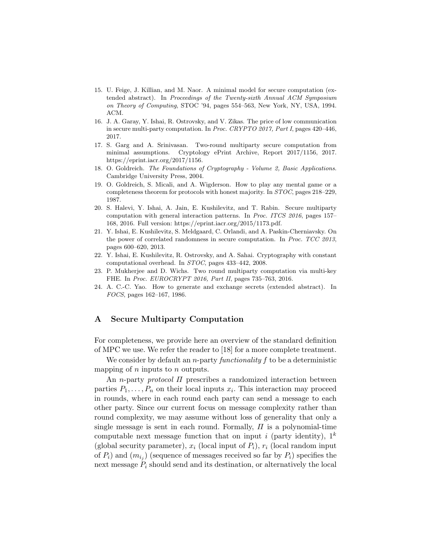- 15. U. Feige, J. Killian, and M. Naor. A minimal model for secure computation (extended abstract). In Proceedings of the Twenty-sixth Annual ACM Symposium on Theory of Computing, STOC '94, pages 554–563, New York, NY, USA, 1994. ACM.
- 16. J. A. Garay, Y. Ishai, R. Ostrovsky, and V. Zikas. The price of low communication in secure multi-party computation. In Proc. CRYPTO 2017, Part I, pages 420–446, 2017.
- 17. S. Garg and A. Srinivasan. Two-round multiparty secure computation from minimal assumptions. Cryptology ePrint Archive, Report 2017/1156, 2017. https://eprint.iacr.org/2017/1156.
- 18. O. Goldreich. The Foundations of Cryptography Volume 2, Basic Applications. Cambridge University Press, 2004.
- 19. O. Goldreich, S. Micali, and A. Wigderson. How to play any mental game or a completeness theorem for protocols with honest majority. In STOC, pages 218–229, 1987.
- 20. S. Halevi, Y. Ishai, A. Jain, E. Kushilevitz, and T. Rabin. Secure multiparty computation with general interaction patterns. In Proc. ITCS 2016, pages 157– 168, 2016. Full version: https://eprint.iacr.org/2015/1173.pdf.
- 21. Y. Ishai, E. Kushilevitz, S. Meldgaard, C. Orlandi, and A. Paskin-Cherniavsky. On the power of correlated randomness in secure computation. In Proc. TCC 2013, pages 600–620, 2013.
- 22. Y. Ishai, E. Kushilevitz, R. Ostrovsky, and A. Sahai. Cryptography with constant computational overhead. In STOC, pages 433–442, 2008.
- 23. P. Mukherjee and D. Wichs. Two round multiparty computation via multi-key FHE. In Proc. EUROCRYPT 2016, Part II, pages 735–763, 2016.
- 24. A. C.-C. Yao. How to generate and exchange secrets (extended abstract). In FOCS, pages 162–167, 1986.

# A Secure Multiparty Computation

For completeness, we provide here an overview of the standard definition of MPC we use. We refer the reader to [18] for a more complete treatment.

We consider by default an *n*-party *functionality*  $f$  to be a deterministic mapping of  $n$  inputs to  $n$  outputs.

An n-party protocol Π prescribes a randomized interaction between parties  $P_1, \ldots, P_n$  on their local inputs  $x_i$ . This interaction may proceed in rounds, where in each round each party can send a message to each other party. Since our current focus on message complexity rather than round complexity, we may assume without loss of generality that only a single message is sent in each round. Formally,  $\Pi$  is a polynomial-time computable next message function that on input i (party identity),  $1^k$ (global security parameter),  $x_i$  (local input of  $P_i$ ),  $r_i$  (local random input of  $P_i$ ) and  $(m_{i_j})$  (sequence of messages received so far by  $P_i$ ) specifies the next message  $P_i$  should send and its destination, or alternatively the local